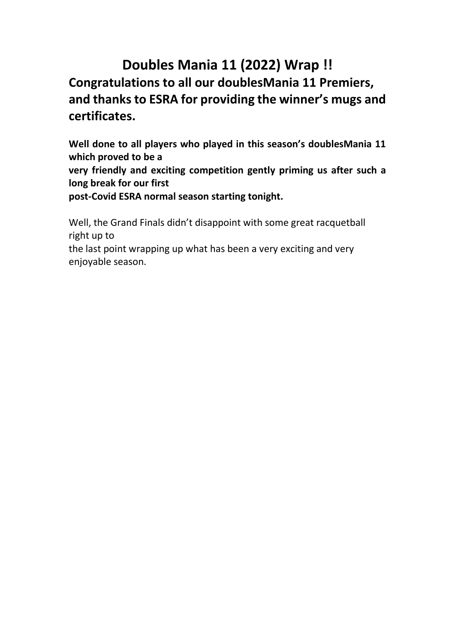# **Doubles Mania 11 (2022) Wrap !! Congratulations to all our doublesMania 11 Premiers, and thanks to ESRA for providing the winner's mugs and certificates.**

**Well done to all players who played in this season's doublesMania 11 which proved to be a**

**very friendly and exciting competition gently priming us after such a long break for our first**

**post-Covid ESRA normal season starting tonight.**

Well, the Grand Finals didn't disappoint with some great racquetball right up to

the last point wrapping up what has been a very exciting and very enjoyable season.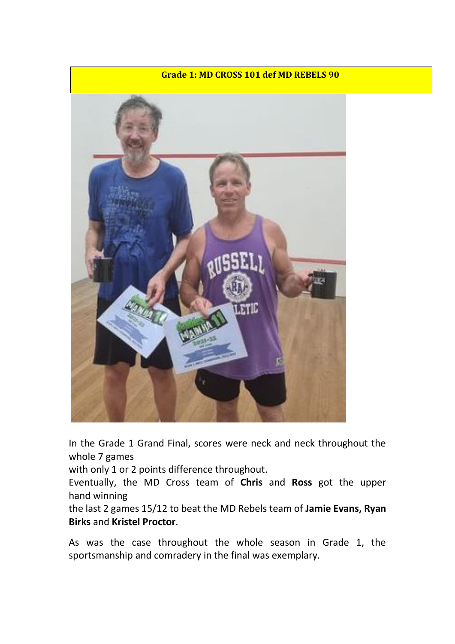

In the Grade 1 Grand Final, scores were neck and neck throughout the whole 7 games

with only 1 or 2 points difference throughout.

Eventually, the MD Cross team of **Chris** and **Ross** got the upper hand winning

the last 2 games 15/12 to beat the MD Rebels team of **Jamie Evans, Ryan Birks** and **Kristel Proctor**.

As was the case throughout the whole season in Grade 1, the sportsmanship and comradery in the final was exemplary.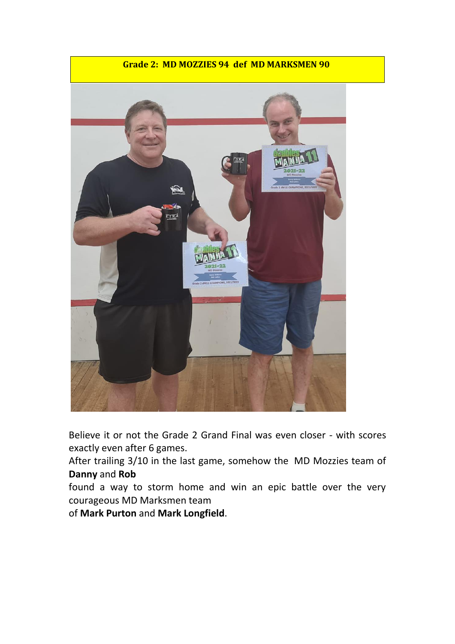## **Grade 2: MD MOZZIES 94 def MD MARKSMEN 90**



Believe it or not the Grade 2 Grand Final was even closer - with scores exactly even after 6 games.

After trailing 3/10 in the last game, somehow the MD Mozzies team of **Danny** and **Rob**

found a way to storm home and win an epic battle over the very courageous MD Marksmen team

of **Mark Purton** and **Mark Longfield**.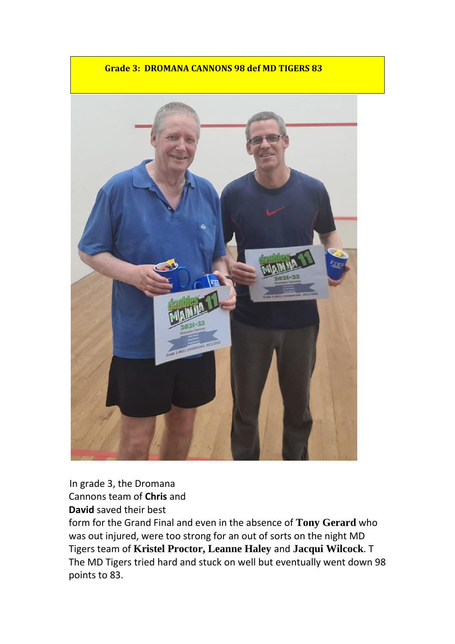**Grade 3: DROMANA CANNONS 98 def MD TIGERS 83**

In grade 3, the Dromana Cannons team of **Chris** and **David** saved their best

form for the Grand Final and even in the absence of **Tony Gerard** who was out injured, were too strong for an out of sorts on the night MD Tigers team of **Kristel Proctor, Leanne Haley** and **Jacqui Wilcock**. T The MD Tigers tried hard and stuck on well but eventually went down 98 points to 83.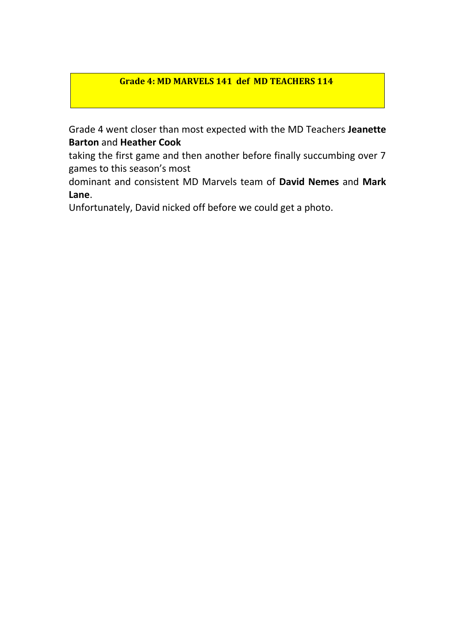## **Grade 4: MD MARVELS 141 def MD TEACHERS 114**

Grade 4 went closer than most expected with the MD Teachers **Jeanette Barton** and **Heather Cook**

taking the first game and then another before finally succumbing over 7 games to this season's most

dominant and consistent MD Marvels team of **David Nemes** and **Mark Lane**.

Unfortunately, David nicked off before we could get a photo.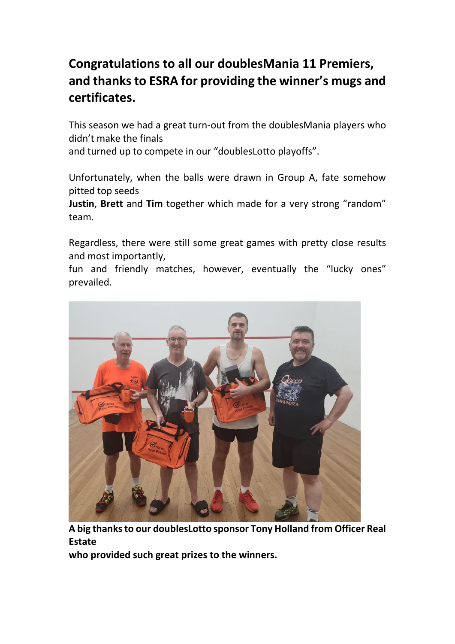## **Congratulations to all our doublesMania 11 Premiers, and thanks to ESRA for providing the winner's mugs and certificates.**

This season we had a great turn-out from the doublesMania players who didn't make the finals

and turned up to compete in our "doublesLotto playoffs".

Unfortunately, when the balls were drawn in Group A, fate somehow pitted top seeds

**Justin**, **Brett** and **Tim** together which made for a very strong "random" team.

Regardless, there were still some great games with pretty close results and most importantly,

fun and friendly matches, however, eventually the "lucky ones" prevailed.



**A big thanks to our doublesLotto sponsor Tony Holland from Officer Real Estate**

**who provided such great prizes to the winners.**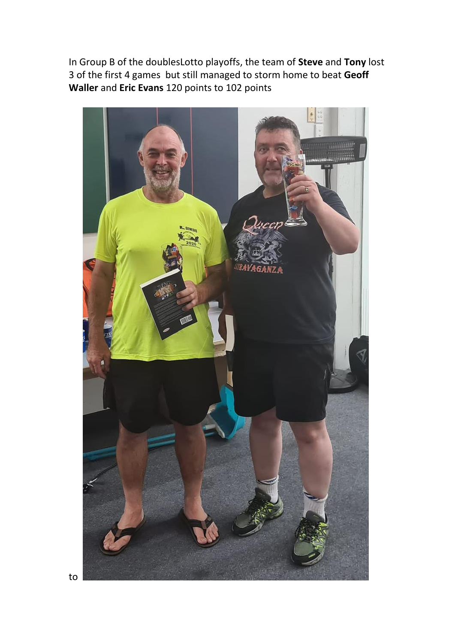In Group B of the doublesLotto playoffs, the team of **Steve** and **Tony** lost 3 of the first 4 games but still managed to storm home to beat **Geoff Waller** and **Eric Evans** 120 points to 102 points